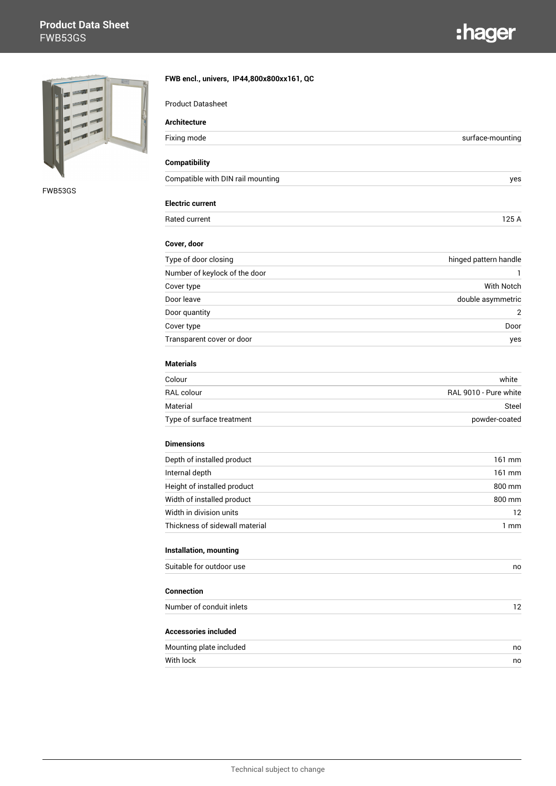## **Product Data Sheet** FWB53GS





FWB53GS

| <b>Product Datasheet</b>          |                       |
|-----------------------------------|-----------------------|
| <b>Architecture</b>               |                       |
| Fixing mode                       | surface-mounting      |
| <b>Compatibility</b>              |                       |
| Compatible with DIN rail mounting | yes                   |
| <b>Electric current</b>           |                       |
| Rated current                     | 125 A                 |
| Cover, door                       |                       |
| Type of door closing              | hinged pattern handle |
| Number of keylock of the door     |                       |
| Cover type                        | <b>With Notch</b>     |
| Door leave                        | double asymmetric     |
| Door quantity                     | 2                     |
| Cover type                        | Door                  |
| Transparent cover or door         | yes                   |
| <b>Materials</b>                  |                       |
| Colour                            | white                 |
| RAL colour                        | RAL 9010 - Pure white |
| Material                          | Steel                 |
| Type of surface treatment         | powder-coated         |
| <b>Dimensions</b>                 |                       |
| Depth of installed product        | 161 mm                |
| Internal depth                    | 161 mm                |
| Height of installed product       | 800 mm                |
| Width of installed product        | 800 mm                |
| Width in division units           | 12                    |
| Thickness of sidewall material    | $1 \text{ mm}$        |
| Installation, mounting            |                       |
| Suitable for outdoor use          | no                    |
| <b>Connection</b>                 |                       |
| Number of conduit inlets          | 12                    |
| <b>Accessories included</b>       |                       |
| Mounting plate included           | no                    |
| With lock                         | no                    |